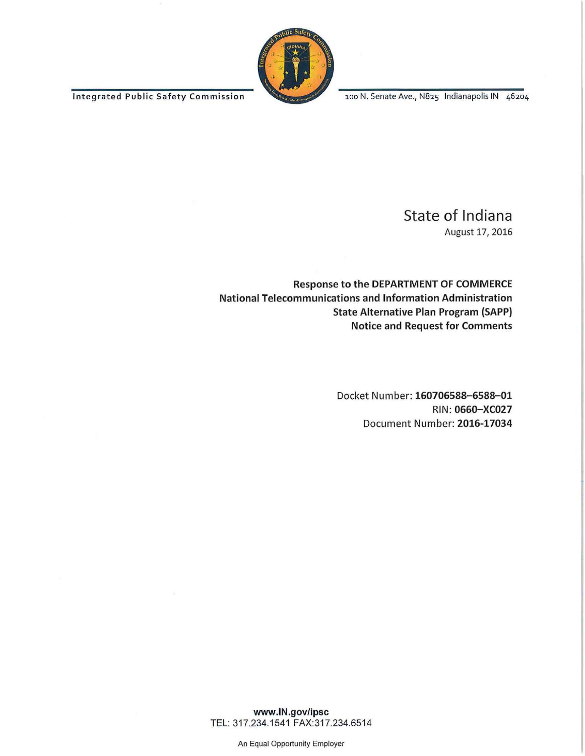Integrated Public Safety Commission 100 N. Senate Ave., N825 Indianapolis IN 46204



## State of Indiana

August 17, 2016

Response to the DEPARTMENT OF COMMERCE National Telecommunications and Information Administration State Alternative Plan Program (SAPP) Notice and Request for Comments

> Docket Number: 160706588- 6588-01 RIN: 0660-XC027 Document Number: 2016-17034

www.IN.gov/ipsc TEL: 317.234.1541 FAX:317.234.6514

An Equal Opportunity Employer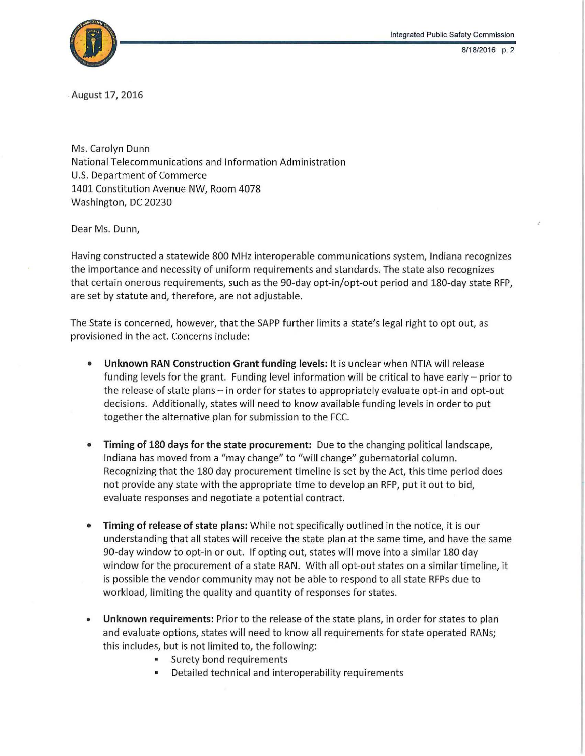



. August 17, 2016

Ms. Carolyn Dunn National Telecommunications and Information Administration U.S. Department of Commerce 1401 Constitution Avenue NW, Room 4078 Washington, DC 20230

Dear Ms. Dunn,

Having constructed a statewide 800 MHz interoperable communications system, Indiana recognizes the importance and necessity of uniform requirements and standards. The state also recognizes that certain onerous requirements, such as the 90-day opt-in/opt-out period and 180-day state RFP, are set by statute and, therefore, are not adjustable.

The State is concerned, however, that the SAPP further limits a state's legal right to opt out, as provisioned in the act. Concerns include:

- Unknown RAN Construction Grant funding levels: It is unclear when NTIA will release funding levels for the grant. Funding level information will be critical to have early- prior to the release of state plans- in order for states to appropriately evaluate opt-in and opt-out decisions. Additionally, states will need to know available funding levels in order to put together the alternative plan for submission to the FCC.
- Timing of 180 days for the state procurement: Due to the changing political landscape, Indiana has moved from a "may change" to "will change" gubernatorial column. Recognizing that the 180 day procurement timeline is set by the Act, this time period does not provide any state with the appropriate time to develop an RFP, put it out to bid, evaluate responses and negotiate a potential contract.
- Timing of release of state plans: While not specifically outlined in the notice, it is our understanding that all states will receive the state plan at the same time, and have the same 90-day window to opt-in or out. If opting out, states will move into a similar 180 day window for the procurement of a state RAN. With all opt-out states on a similar timeline, it is possible the vendor community may not be able to respond to all state RFPs due to workload, limiting the quality and quantity of responses for states.
- Unknown requirements: Prior to the release of the state plans, in order for states to plan and evaluate options, states will need to know all requirements for state operated RANs; this includes, but is not limited to, the following:
	- Surety bond requirements
	- Detailed technical and interoperability requirements